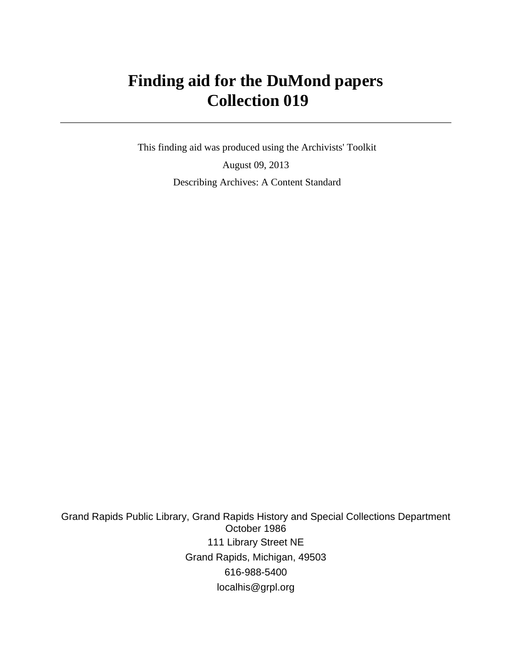# **Finding aid for the DuMond papers Collection 019**

 This finding aid was produced using the Archivists' Toolkit August 09, 2013 Describing Archives: A Content Standard

Grand Rapids Public Library, Grand Rapids History and Special Collections Department October 1986 111 Library Street NE Grand Rapids, Michigan, 49503 616-988-5400 localhis@grpl.org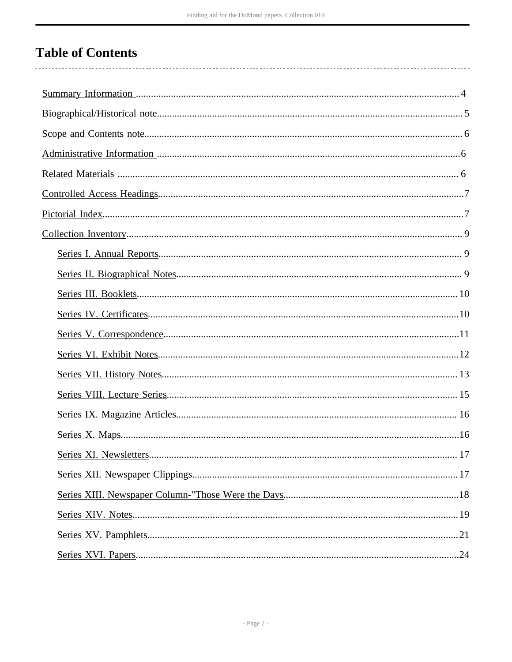# **Table of Contents**

. . . . . . . . . . . .

 $\overline{a}$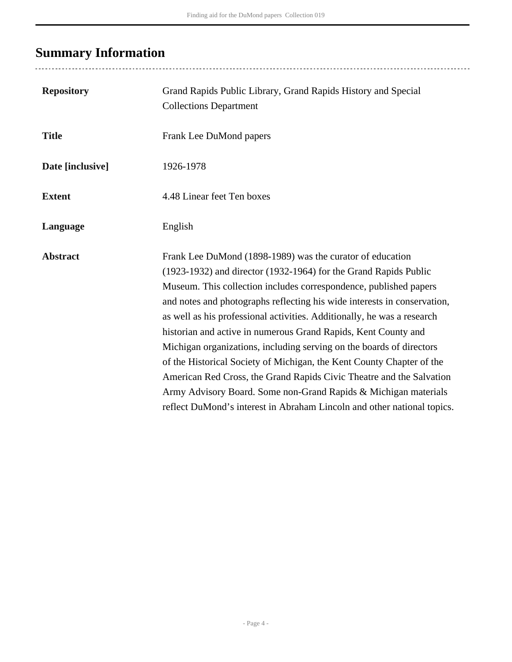# <span id="page-3-0"></span>**Summary Information**

| <b>Repository</b> | Grand Rapids Public Library, Grand Rapids History and Special<br><b>Collections Department</b>                                                                                                                                                                                                                                                                                                                                                                                                                                                                                                                                                                                                                                                                                                     |
|-------------------|----------------------------------------------------------------------------------------------------------------------------------------------------------------------------------------------------------------------------------------------------------------------------------------------------------------------------------------------------------------------------------------------------------------------------------------------------------------------------------------------------------------------------------------------------------------------------------------------------------------------------------------------------------------------------------------------------------------------------------------------------------------------------------------------------|
| <b>Title</b>      | Frank Lee DuMond papers                                                                                                                                                                                                                                                                                                                                                                                                                                                                                                                                                                                                                                                                                                                                                                            |
| Date [inclusive]  | 1926-1978                                                                                                                                                                                                                                                                                                                                                                                                                                                                                                                                                                                                                                                                                                                                                                                          |
| <b>Extent</b>     | 4.48 Linear feet Ten boxes                                                                                                                                                                                                                                                                                                                                                                                                                                                                                                                                                                                                                                                                                                                                                                         |
| Language          | English                                                                                                                                                                                                                                                                                                                                                                                                                                                                                                                                                                                                                                                                                                                                                                                            |
| <b>Abstract</b>   | Frank Lee DuMond (1898-1989) was the curator of education<br>(1923-1932) and director (1932-1964) for the Grand Rapids Public<br>Museum. This collection includes correspondence, published papers<br>and notes and photographs reflecting his wide interests in conservation,<br>as well as his professional activities. Additionally, he was a research<br>historian and active in numerous Grand Rapids, Kent County and<br>Michigan organizations, including serving on the boards of directors<br>of the Historical Society of Michigan, the Kent County Chapter of the<br>American Red Cross, the Grand Rapids Civic Theatre and the Salvation<br>Army Advisory Board. Some non-Grand Rapids & Michigan materials<br>reflect DuMond's interest in Abraham Lincoln and other national topics. |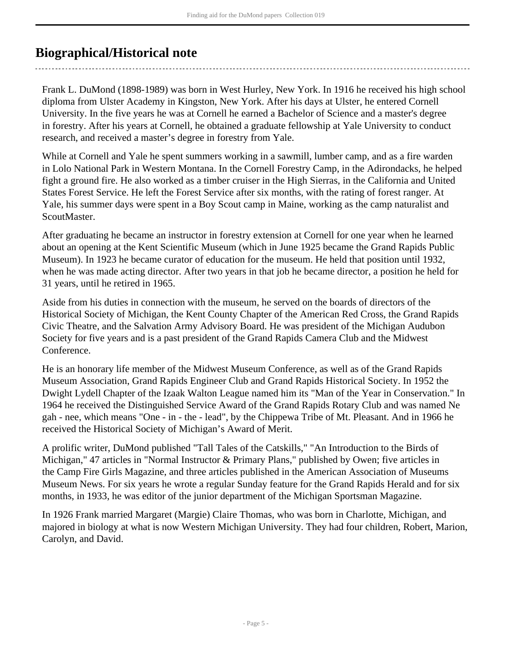# <span id="page-4-0"></span>**Biographical/Historical note**

Frank L. DuMond (1898-1989) was born in West Hurley, New York. In 1916 he received his high school diploma from Ulster Academy in Kingston, New York. After his days at Ulster, he entered Cornell University. In the five years he was at Cornell he earned a Bachelor of Science and a master's degree in forestry. After his years at Cornell, he obtained a graduate fellowship at Yale University to conduct research, and received a master's degree in forestry from Yale.

While at Cornell and Yale he spent summers working in a sawmill, lumber camp, and as a fire warden in Lolo National Park in Western Montana. In the Cornell Forestry Camp, in the Adirondacks, he helped fight a ground fire. He also worked as a timber cruiser in the High Sierras, in the California and United States Forest Service. He left the Forest Service after six months, with the rating of forest ranger. At Yale, his summer days were spent in a Boy Scout camp in Maine, working as the camp naturalist and ScoutMaster.

After graduating he became an instructor in forestry extension at Cornell for one year when he learned about an opening at the Kent Scientific Museum (which in June 1925 became the Grand Rapids Public Museum). In 1923 he became curator of education for the museum. He held that position until 1932, when he was made acting director. After two years in that job he became director, a position he held for 31 years, until he retired in 1965.

Aside from his duties in connection with the museum, he served on the boards of directors of the Historical Society of Michigan, the Kent County Chapter of the American Red Cross, the Grand Rapids Civic Theatre, and the Salvation Army Advisory Board. He was president of the Michigan Audubon Society for five years and is a past president of the Grand Rapids Camera Club and the Midwest Conference.

He is an honorary life member of the Midwest Museum Conference, as well as of the Grand Rapids Museum Association, Grand Rapids Engineer Club and Grand Rapids Historical Society. In 1952 the Dwight Lydell Chapter of the Izaak Walton League named him its "Man of the Year in Conservation." In 1964 he received the Distinguished Service Award of the Grand Rapids Rotary Club and was named Ne gah - nee, which means "One - in - the - lead", by the Chippewa Tribe of Mt. Pleasant. And in 1966 he received the Historical Society of Michigan's Award of Merit.

A prolific writer, DuMond published "Tall Tales of the Catskills," "An Introduction to the Birds of Michigan," 47 articles in "Normal Instructor & Primary Plans," published by Owen; five articles in the Camp Fire Girls Magazine, and three articles published in the American Association of Museums Museum News. For six years he wrote a regular Sunday feature for the Grand Rapids Herald and for six months, in 1933, he was editor of the junior department of the Michigan Sportsman Magazine.

In 1926 Frank married Margaret (Margie) Claire Thomas, who was born in Charlotte, Michigan, and majored in biology at what is now Western Michigan University. They had four children, Robert, Marion, Carolyn, and David.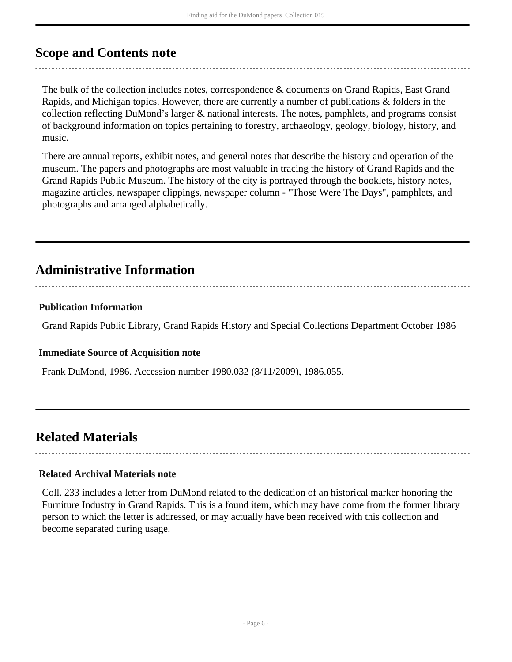# <span id="page-5-0"></span>**Scope and Contents note**

The bulk of the collection includes notes, correspondence & documents on Grand Rapids, East Grand Rapids, and Michigan topics. However, there are currently a number of publications & folders in the collection reflecting DuMond's larger & national interests. The notes, pamphlets, and programs consist of background information on topics pertaining to forestry, archaeology, geology, biology, history, and music.

There are annual reports, exhibit notes, and general notes that describe the history and operation of the museum. The papers and photographs are most valuable in tracing the history of Grand Rapids and the Grand Rapids Public Museum. The history of the city is portrayed through the booklets, history notes, magazine articles, newspaper clippings, newspaper column - "Those Were The Days", pamphlets, and photographs and arranged alphabetically.

# <span id="page-5-1"></span>**Administrative Information**

# **Publication Information**

Grand Rapids Public Library, Grand Rapids History and Special Collections Department October 1986

## **Immediate Source of Acquisition note**

Frank DuMond, 1986. Accession number 1980.032 (8/11/2009), 1986.055.

# <span id="page-5-2"></span>**Related Materials**

# **Related Archival Materials note**

Coll. 233 includes a letter from DuMond related to the dedication of an historical marker honoring the Furniture Industry in Grand Rapids. This is a found item, which may have come from the former library person to which the letter is addressed, or may actually have been received with this collection and become separated during usage.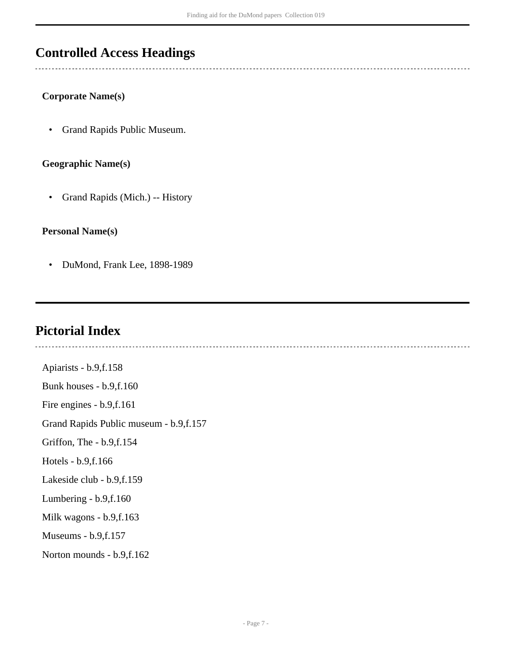# <span id="page-6-0"></span>**Controlled Access Headings**

# **Corporate Name(s)**

• Grand Rapids Public Museum.

# **Geographic Name(s)**

• Grand Rapids (Mich.) -- History

## **Personal Name(s)**

• DuMond, Frank Lee, 1898-1989

# <span id="page-6-1"></span>**Pictorial Index**

Apiarists - b.9,f.158 Bunk houses - b.9,f.160 Fire engines - b.9,f.161 Grand Rapids Public museum - b.9,f.157 Griffon, The - b.9,f.154 Hotels - b.9,f.166 Lakeside club - b.9,f.159 Lumbering - b.9,f.160 Milk wagons - b.9,f.163 Museums - b.9,f.157 Norton mounds - b.9,f.162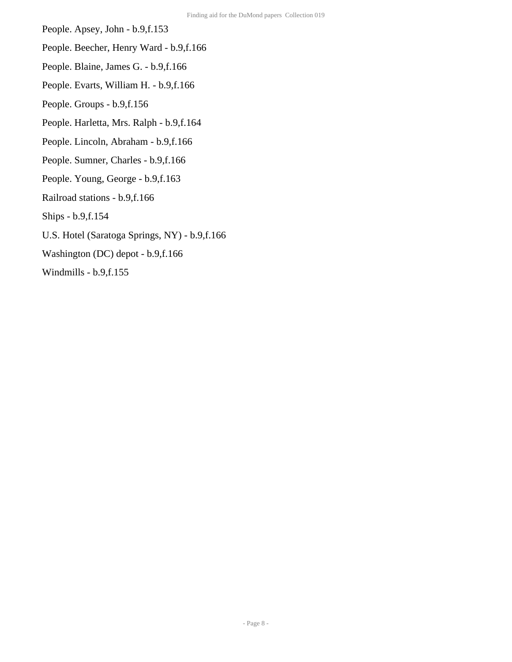- People. Apsey, John b.9,f.153
- People. Beecher, Henry Ward b.9,f.166
- People. Blaine, James G. b.9,f.166
- People. Evarts, William H. b.9,f.166
- People. Groups b.9,f.156
- People. Harletta, Mrs. Ralph b.9,f.164
- People. Lincoln, Abraham b.9,f.166
- People. Sumner, Charles b.9,f.166
- People. Young, George b.9,f.163
- Railroad stations b.9,f.166
- Ships b.9,f.154
- U.S. Hotel (Saratoga Springs, NY) b.9,f.166
- Washington (DC) depot b.9,f.166
- Windmills b.9,f.155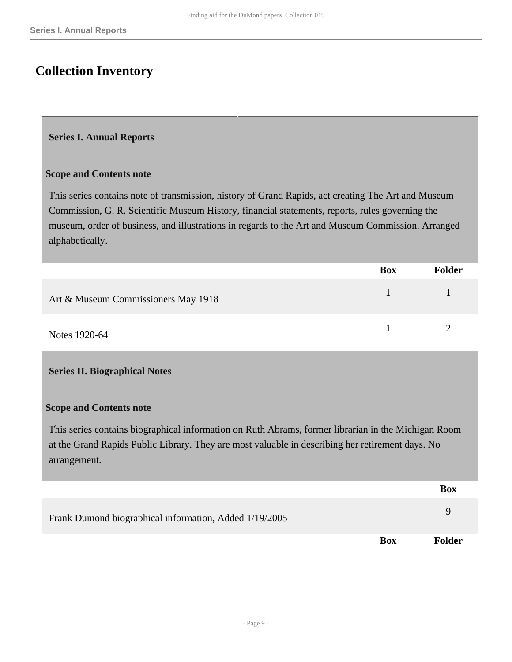# <span id="page-8-0"></span>**Collection Inventory**

### <span id="page-8-1"></span>**Series I. Annual Reports**

#### **Scope and Contents note**

This series contains note of transmission, history of Grand Rapids, act creating The Art and Museum Commission, G. R. Scientific Museum History, financial statements, reports, rules governing the museum, order of business, and illustrations in regards to the Art and Museum Commission. Arranged alphabetically.

|                                     | <b>Box</b> | <b>Folder</b> |
|-------------------------------------|------------|---------------|
| Art & Museum Commissioners May 1918 |            |               |
| Notes 1920-64                       |            |               |

## <span id="page-8-2"></span>**Series II. Biographical Notes**

#### **Scope and Contents note**

This series contains biographical information on Ruth Abrams, former librarian in the Michigan Room at the Grand Rapids Public Library. They are most valuable in describing her retirement days. No arrangement.

|                                                        |            | <b>Box</b>    |
|--------------------------------------------------------|------------|---------------|
| Frank Dumond biographical information, Added 1/19/2005 |            | q             |
|                                                        | <b>Box</b> | <b>Folder</b> |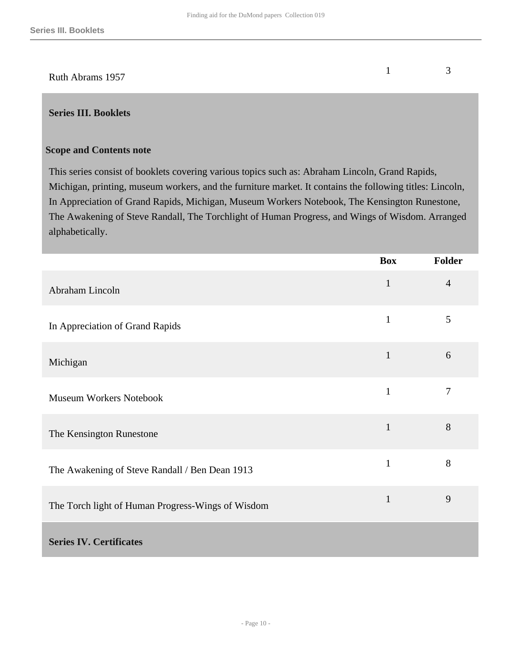# Ruth Abrams 1957  $1 \t 3$

# <span id="page-9-0"></span>**Series III. Booklets**

## **Scope and Contents note**

This series consist of booklets covering various topics such as: Abraham Lincoln, Grand Rapids, Michigan, printing, museum workers, and the furniture market. It contains the following titles: Lincoln, In Appreciation of Grand Rapids, Michigan, Museum Workers Notebook, The Kensington Runestone, The Awakening of Steve Randall, The Torchlight of Human Progress, and Wings of Wisdom. Arranged alphabetically.

<span id="page-9-1"></span>

|                                                   | <b>Box</b>   | <b>Folder</b>  |
|---------------------------------------------------|--------------|----------------|
| Abraham Lincoln                                   | $\mathbf{1}$ | $\overline{4}$ |
| In Appreciation of Grand Rapids                   | $\mathbf{1}$ | $\mathfrak{S}$ |
| Michigan                                          | $\mathbf{1}$ | 6              |
| <b>Museum Workers Notebook</b>                    | $\mathbf{1}$ | $\overline{7}$ |
| The Kensington Runestone                          | $\mathbf{1}$ | 8              |
| The Awakening of Steve Randall / Ben Dean 1913    | $\mathbf{1}$ | 8              |
| The Torch light of Human Progress-Wings of Wisdom | $\mathbf{1}$ | 9              |
| <b>Series IV. Certificates</b>                    |              |                |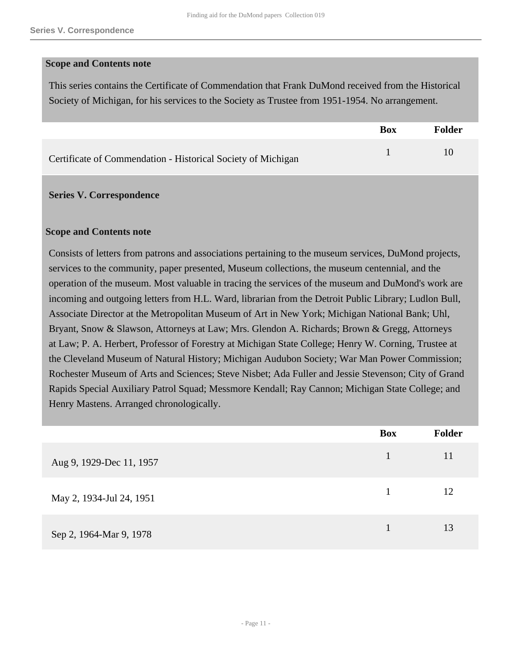#### **Scope and Contents note**

This series contains the Certificate of Commendation that Frank DuMond received from the Historical Society of Michigan, for his services to the Society as Trustee from 1951-1954. No arrangement.

|                                                              | Box | Folder |
|--------------------------------------------------------------|-----|--------|
| Certificate of Commendation - Historical Society of Michigan |     |        |

#### <span id="page-10-0"></span>**Series V. Correspondence**

#### **Scope and Contents note**

Consists of letters from patrons and associations pertaining to the museum services, DuMond projects, services to the community, paper presented, Museum collections, the museum centennial, and the operation of the museum. Most valuable in tracing the services of the museum and DuMond's work are incoming and outgoing letters from H.L. Ward, librarian from the Detroit Public Library; Ludlon Bull, Associate Director at the Metropolitan Museum of Art in New York; Michigan National Bank; Uhl, Bryant, Snow & Slawson, Attorneys at Law; Mrs. Glendon A. Richards; Brown & Gregg, Attorneys at Law; P. A. Herbert, Professor of Forestry at Michigan State College; Henry W. Corning, Trustee at the Cleveland Museum of Natural History; Michigan Audubon Society; War Man Power Commission; Rochester Museum of Arts and Sciences; Steve Nisbet; Ada Fuller and Jessie Stevenson; City of Grand Rapids Special Auxiliary Patrol Squad; Messmore Kendall; Ray Cannon; Michigan State College; and Henry Mastens. Arranged chronologically.

|                          | <b>Box</b>   | <b>Folder</b> |
|--------------------------|--------------|---------------|
| Aug 9, 1929-Dec 11, 1957 | $\mathbf{1}$ | 11            |
| May 2, 1934-Jul 24, 1951 | 1            | 12            |
| Sep 2, 1964-Mar 9, 1978  |              | 13            |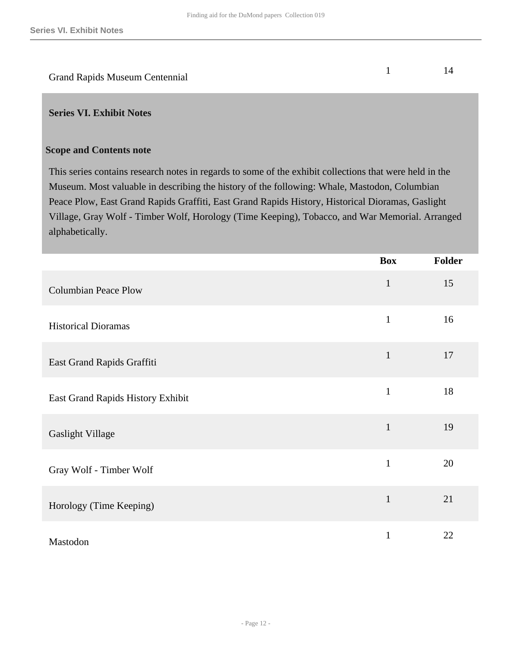# Grand Rapids Museum Centennial 1 14

#### <span id="page-11-0"></span>**Series VI. Exhibit Notes**

#### **Scope and Contents note**

This series contains research notes in regards to some of the exhibit collections that were held in the Museum. Most valuable in describing the history of the following: Whale, Mastodon, Columbian Peace Plow, East Grand Rapids Graffiti, East Grand Rapids History, Historical Dioramas, Gaslight Village, Gray Wolf - Timber Wolf, Horology (Time Keeping), Tobacco, and War Memorial. Arranged alphabetically.

|                                   | <b>Box</b>   | Folder |
|-----------------------------------|--------------|--------|
| <b>Columbian Peace Plow</b>       | $\mathbf{1}$ | 15     |
| <b>Historical Dioramas</b>        | $\mathbf{1}$ | 16     |
| East Grand Rapids Graffiti        | $\mathbf{1}$ | 17     |
| East Grand Rapids History Exhibit | $\mathbf{1}$ | 18     |
| Gaslight Village                  | $\mathbf{1}$ | 19     |
| Gray Wolf - Timber Wolf           | $\mathbf{1}$ | 20     |
| Horology (Time Keeping)           | $\mathbf{1}$ | 21     |
| Mastodon                          | $\mathbf{1}$ | 22     |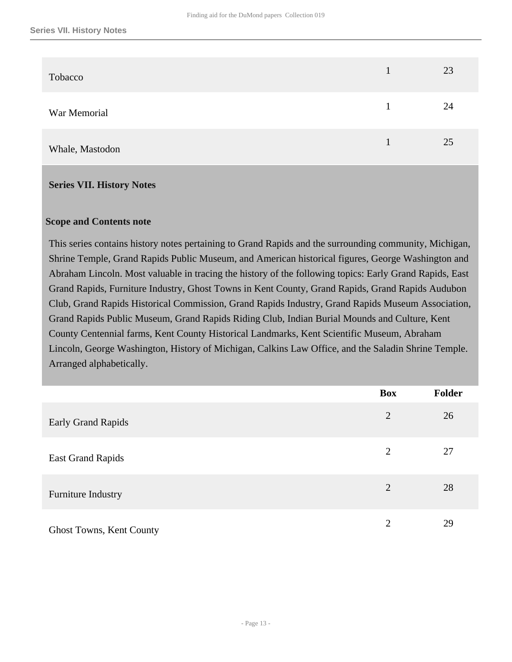| Tobacco         | 23 |
|-----------------|----|
| War Memorial    | 24 |
| Whale, Mastodon | 25 |

#### <span id="page-12-0"></span>**Series VII. History Notes**

#### **Scope and Contents note**

This series contains history notes pertaining to Grand Rapids and the surrounding community, Michigan, Shrine Temple, Grand Rapids Public Museum, and American historical figures, George Washington and Abraham Lincoln. Most valuable in tracing the history of the following topics: Early Grand Rapids, East Grand Rapids, Furniture Industry, Ghost Towns in Kent County, Grand Rapids, Grand Rapids Audubon Club, Grand Rapids Historical Commission, Grand Rapids Industry, Grand Rapids Museum Association, Grand Rapids Public Museum, Grand Rapids Riding Club, Indian Burial Mounds and Culture, Kent County Centennial farms, Kent County Historical Landmarks, Kent Scientific Museum, Abraham Lincoln, George Washington, History of Michigan, Calkins Law Office, and the Saladin Shrine Temple. Arranged alphabetically.

|                                 | <b>Box</b>     | Folder |
|---------------------------------|----------------|--------|
| <b>Early Grand Rapids</b>       | 2              | 26     |
| <b>East Grand Rapids</b>        | 2              | 27     |
| Furniture Industry              | 2              | 28     |
| <b>Ghost Towns, Kent County</b> | $\overline{2}$ | 29     |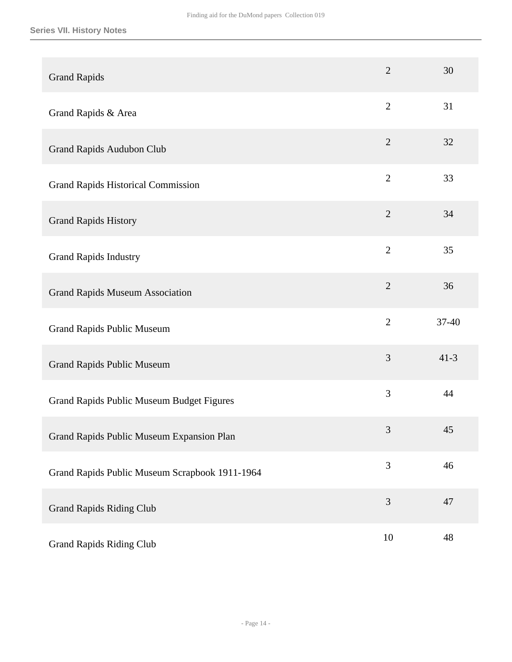| <b>Grand Rapids</b>                            | $\overline{2}$ | 30       |
|------------------------------------------------|----------------|----------|
| Grand Rapids & Area                            | $\overline{2}$ | 31       |
| Grand Rapids Audubon Club                      | $\overline{2}$ | 32       |
| <b>Grand Rapids Historical Commission</b>      | $\overline{2}$ | 33       |
| <b>Grand Rapids History</b>                    | $\overline{2}$ | 34       |
| <b>Grand Rapids Industry</b>                   | $\overline{2}$ | 35       |
| <b>Grand Rapids Museum Association</b>         | $\overline{2}$ | 36       |
| <b>Grand Rapids Public Museum</b>              | $\overline{2}$ | 37-40    |
| <b>Grand Rapids Public Museum</b>              | 3              | $41 - 3$ |
| Grand Rapids Public Museum Budget Figures      | 3              | 44       |
| Grand Rapids Public Museum Expansion Plan      | 3              | $45\,$   |
| Grand Rapids Public Museum Scrapbook 1911-1964 | 3              | 46       |
| <b>Grand Rapids Riding Club</b>                | $\mathfrak{Z}$ | 47       |
| <b>Grand Rapids Riding Club</b>                | 10             | 48       |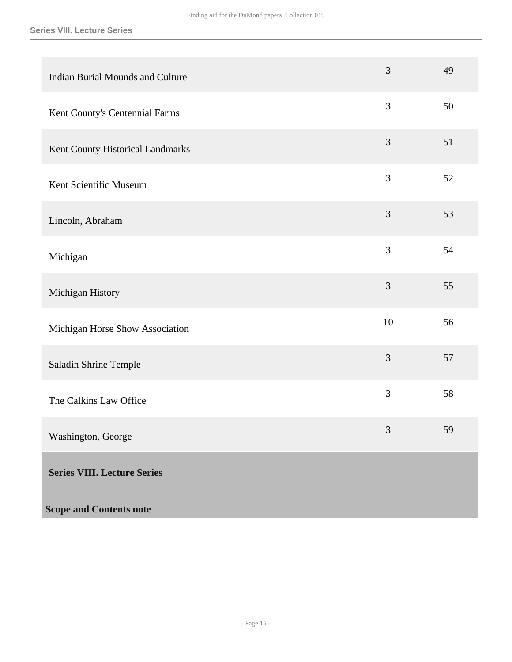<span id="page-14-0"></span>

| <b>Indian Burial Mounds and Culture</b> | 3              | 49 |
|-----------------------------------------|----------------|----|
| Kent County's Centennial Farms          | 3              | 50 |
| Kent County Historical Landmarks        | 3              | 51 |
| Kent Scientific Museum                  | 3              | 52 |
| Lincoln, Abraham                        | $\mathfrak{Z}$ | 53 |
| Michigan                                | 3              | 54 |
| Michigan History                        | $\mathfrak{Z}$ | 55 |
| Michigan Horse Show Association         | 10             | 56 |
| Saladin Shrine Temple                   | 3              | 57 |
| The Calkins Law Office                  | 3              | 58 |
| Washington, George                      | 3              | 59 |
| <b>Series VIII. Lecture Series</b>      |                |    |
| <b>Scope and Contents note</b>          |                |    |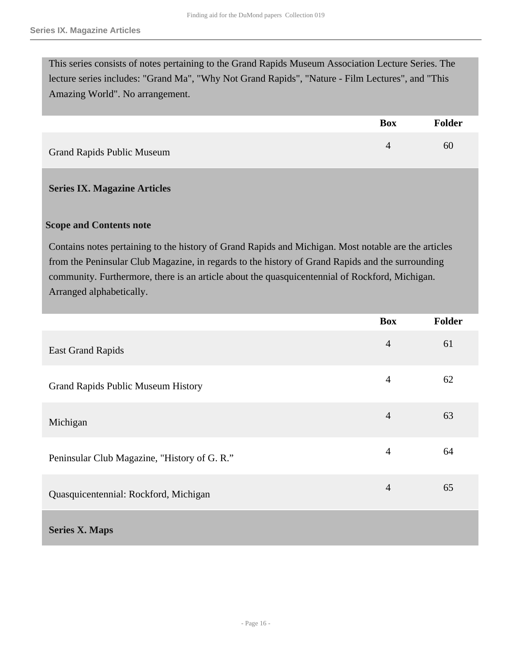This series consists of notes pertaining to the Grand Rapids Museum Association Lecture Series. The lecture series includes: "Grand Ma", "Why Not Grand Rapids", "Nature - Film Lectures", and "This Amazing World". No arrangement.

|                                   | Box | <b>Folder</b> |
|-----------------------------------|-----|---------------|
| <b>Grand Rapids Public Museum</b> |     | 60            |

## <span id="page-15-0"></span>**Series IX. Magazine Articles**

#### **Scope and Contents note**

Contains notes pertaining to the history of Grand Rapids and Michigan. Most notable are the articles from the Peninsular Club Magazine, in regards to the history of Grand Rapids and the surrounding community. Furthermore, there is an article about the quasquicentennial of Rockford, Michigan. Arranged alphabetically.

<span id="page-15-1"></span>

|                                              | <b>Box</b>     | <b>Folder</b> |
|----------------------------------------------|----------------|---------------|
| <b>East Grand Rapids</b>                     | $\overline{4}$ | 61            |
| <b>Grand Rapids Public Museum History</b>    | $\overline{4}$ | 62            |
| Michigan                                     | $\overline{4}$ | 63            |
| Peninsular Club Magazine, "History of G. R." | $\overline{4}$ | 64            |
| Quasquicentennial: Rockford, Michigan        | $\overline{4}$ | 65            |
| <b>Series X. Maps</b>                        |                |               |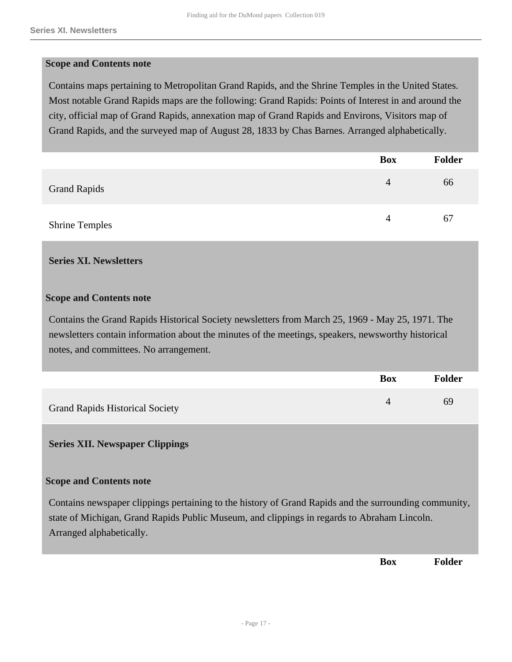#### **Scope and Contents note**

Contains maps pertaining to Metropolitan Grand Rapids, and the Shrine Temples in the United States. Most notable Grand Rapids maps are the following: Grand Rapids: Points of Interest in and around the city, official map of Grand Rapids, annexation map of Grand Rapids and Environs, Visitors map of Grand Rapids, and the surveyed map of August 28, 1833 by Chas Barnes. Arranged alphabetically.

|                       | <b>Box</b> | <b>Folder</b> |
|-----------------------|------------|---------------|
| <b>Grand Rapids</b>   | 4          | 66            |
| <b>Shrine Temples</b> | 4          | 67            |

#### <span id="page-16-0"></span>**Series XI. Newsletters**

#### **Scope and Contents note**

Contains the Grand Rapids Historical Society newsletters from March 25, 1969 - May 25, 1971. The newsletters contain information about the minutes of the meetings, speakers, newsworthy historical notes, and committees. No arrangement.

|                                        | <b>Box</b> | <b>Folder</b> |
|----------------------------------------|------------|---------------|
| <b>Grand Rapids Historical Society</b> |            | 69            |

## <span id="page-16-1"></span>**Series XII. Newspaper Clippings**

## **Scope and Contents note**

Contains newspaper clippings pertaining to the history of Grand Rapids and the surrounding community, state of Michigan, Grand Rapids Public Museum, and clippings in regards to Abraham Lincoln. Arranged alphabetically.

**Box Folder**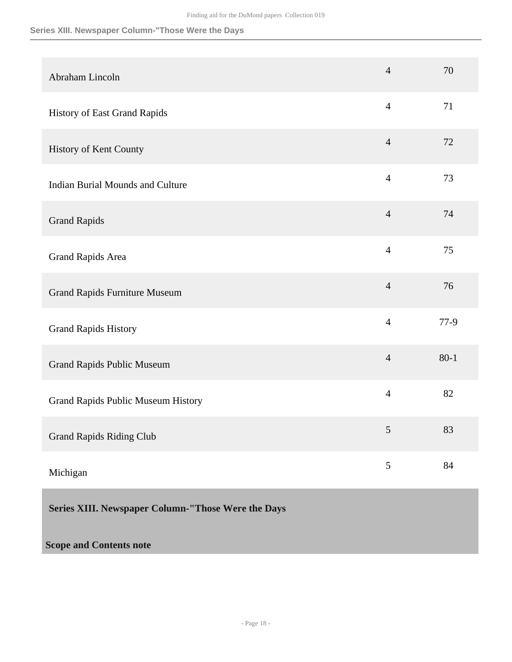# **Series XIII. Newspaper Column-"Those Were the Days**

<span id="page-17-0"></span>

| Abraham Lincoln                                    | $\overline{4}$ | 70       |
|----------------------------------------------------|----------------|----------|
| History of East Grand Rapids                       | $\overline{4}$ | 71       |
| History of Kent County                             | $\overline{4}$ | 72       |
| <b>Indian Burial Mounds and Culture</b>            | $\overline{4}$ | 73       |
| <b>Grand Rapids</b>                                | $\overline{4}$ | 74       |
| Grand Rapids Area                                  | $\overline{4}$ | 75       |
| <b>Grand Rapids Furniture Museum</b>               | $\overline{4}$ | 76       |
| <b>Grand Rapids History</b>                        | $\overline{4}$ | $77-9$   |
| <b>Grand Rapids Public Museum</b>                  | $\overline{4}$ | $80 - 1$ |
| Grand Rapids Public Museum History                 | $\overline{4}$ | 82       |
| <b>Grand Rapids Riding Club</b>                    | 5              | 83       |
| Michigan                                           | 5              | 84       |
| Series XIII. Newspaper Column-"Those Were the Days |                |          |
| <b>Scope and Contents note</b>                     |                |          |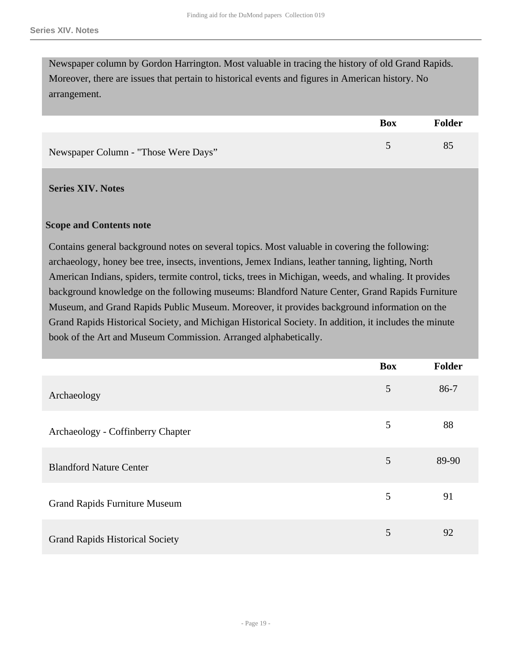Newspaper column by Gordon Harrington. Most valuable in tracing the history of old Grand Rapids. Moreover, there are issues that pertain to historical events and figures in American history. No arrangement.

|                                      | <b>Box</b> | <b>Folder</b> |
|--------------------------------------|------------|---------------|
| Newspaper Column - "Those Were Days" |            | 85            |

<span id="page-18-0"></span>**Series XIV. Notes** 

#### **Scope and Contents note**

Contains general background notes on several topics. Most valuable in covering the following: archaeology, honey bee tree, insects, inventions, Jemex Indians, leather tanning, lighting, North American Indians, spiders, termite control, ticks, trees in Michigan, weeds, and whaling. It provides background knowledge on the following museums: Blandford Nature Center, Grand Rapids Furniture Museum, and Grand Rapids Public Museum. Moreover, it provides background information on the Grand Rapids Historical Society, and Michigan Historical Society. In addition, it includes the minute book of the Art and Museum Commission. Arranged alphabetically.

|                                        | <b>Box</b> | <b>Folder</b> |
|----------------------------------------|------------|---------------|
| Archaeology                            | 5          | $86-7$        |
| Archaeology - Coffinberry Chapter      | 5          | 88            |
| <b>Blandford Nature Center</b>         | 5          | 89-90         |
| <b>Grand Rapids Furniture Museum</b>   | 5          | 91            |
| <b>Grand Rapids Historical Society</b> | 5          | 92            |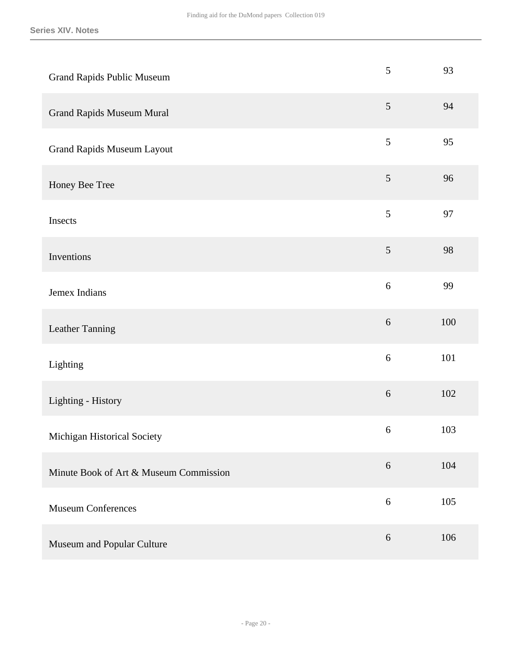| <b>Grand Rapids Public Museum</b>      | 5              | 93  |
|----------------------------------------|----------------|-----|
| <b>Grand Rapids Museum Mural</b>       | $\mathfrak{S}$ | 94  |
| <b>Grand Rapids Museum Layout</b>      | 5              | 95  |
| Honey Bee Tree                         | $\sqrt{5}$     | 96  |
| Insects                                | 5              | 97  |
| Inventions                             | $\sqrt{5}$     | 98  |
| Jemex Indians                          | $\sqrt{6}$     | 99  |
| Leather Tanning                        | $6\,$          | 100 |
| Lighting                               | $\sqrt{6}$     | 101 |
| Lighting - History                     | $\sqrt{6}$     | 102 |
| Michigan Historical Society            | 6              | 103 |
| Minute Book of Art & Museum Commission | $6\,$          | 104 |
| <b>Museum Conferences</b>              | $6\,$          | 105 |
| Museum and Popular Culture             | $6\,$          | 106 |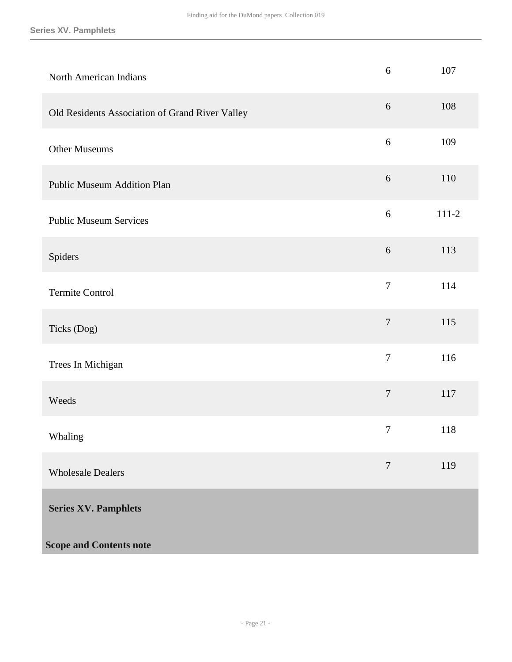#### **Series XV. Pamphlets**

<span id="page-20-0"></span>

| North American Indians                          | $\sqrt{6}$       | 107     |
|-------------------------------------------------|------------------|---------|
| Old Residents Association of Grand River Valley | $6\,$            | 108     |
| <b>Other Museums</b>                            | $6\,$            | 109     |
| <b>Public Museum Addition Plan</b>              | $6\,$            | 110     |
| <b>Public Museum Services</b>                   | $6\,$            | $111-2$ |
| Spiders                                         | $6\,$            | 113     |
| <b>Termite Control</b>                          | $\overline{7}$   | 114     |
| Ticks (Dog)                                     | $\boldsymbol{7}$ | 115     |
| Trees In Michigan                               | $\tau$           | 116     |
| Weeds                                           | $\overline{7}$   | 117     |
| Whaling                                         | $\boldsymbol{7}$ | 118     |
| <b>Wholesale Dealers</b>                        | $\overline{7}$   | 119     |
| <b>Series XV. Pamphlets</b>                     |                  |         |
| <b>Scope and Contents note</b>                  |                  |         |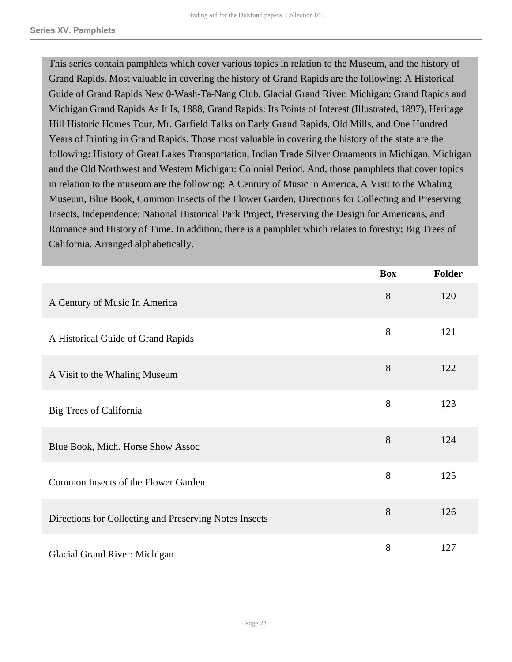This series contain pamphlets which cover various topics in relation to the Museum, and the history of Grand Rapids. Most valuable in covering the history of Grand Rapids are the following: A Historical Guide of Grand Rapids New 0-Wash-Ta-Nang Club, Glacial Grand River: Michigan; Grand Rapids and Michigan Grand Rapids As It Is, 1888, Grand Rapids: Its Points of Interest (Illustrated, 1897), Heritage Hill Historic Homes Tour, Mr. Garfield Talks on Early Grand Rapids, Old Mills, and One Hundred Years of Printing in Grand Rapids. Those most valuable in covering the history of the state are the following: History of Great Lakes Transportation, Indian Trade Silver Ornaments in Michigan, Michigan and the Old Northwest and Western Michigan: Colonial Period. And, those pamphlets that cover topics in relation to the museum are the following: A Century of Music in America, A Visit to the Whaling Museum, Blue Book, Common Insects of the Flower Garden, Directions for Collecting and Preserving Insects, Independence: National Historical Park Project, Preserving the Design for Americans, and Romance and History of Time. In addition, there is a pamphlet which relates to forestry; Big Trees of California. Arranged alphabetically.

|                                                        | <b>Box</b> | <b>Folder</b> |
|--------------------------------------------------------|------------|---------------|
| A Century of Music In America                          | 8          | 120           |
| A Historical Guide of Grand Rapids                     | 8          | 121           |
| A Visit to the Whaling Museum                          | 8          | 122           |
| Big Trees of California                                | 8          | 123           |
| Blue Book, Mich. Horse Show Assoc                      | 8          | 124           |
| Common Insects of the Flower Garden                    | 8          | 125           |
| Directions for Collecting and Preserving Notes Insects | 8          | 126           |
| Glacial Grand River: Michigan                          | 8          | 127           |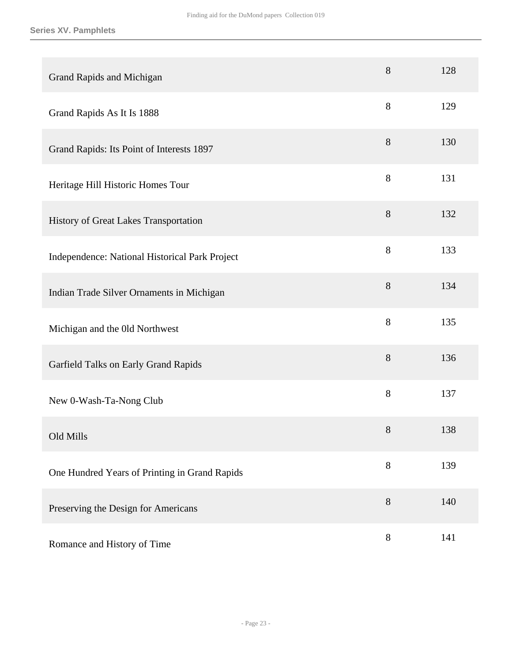| <b>Grand Rapids and Michigan</b>               | 8     | 128 |
|------------------------------------------------|-------|-----|
| Grand Rapids As It Is 1888                     | 8     | 129 |
| Grand Rapids: Its Point of Interests 1897      | 8     | 130 |
| Heritage Hill Historic Homes Tour              | 8     | 131 |
| History of Great Lakes Transportation          | $8\,$ | 132 |
| Independence: National Historical Park Project | 8     | 133 |
| Indian Trade Silver Ornaments in Michigan      | 8     | 134 |
| Michigan and the Old Northwest                 | 8     | 135 |
| Garfield Talks on Early Grand Rapids           | 8     | 136 |
| New 0-Wash-Ta-Nong Club                        | $8\,$ | 137 |
| Old Mills                                      | 8     | 138 |
| One Hundred Years of Printing in Grand Rapids  | $8\,$ | 139 |
| Preserving the Design for Americans            | $8\,$ | 140 |
| Romance and History of Time                    | $8\,$ | 141 |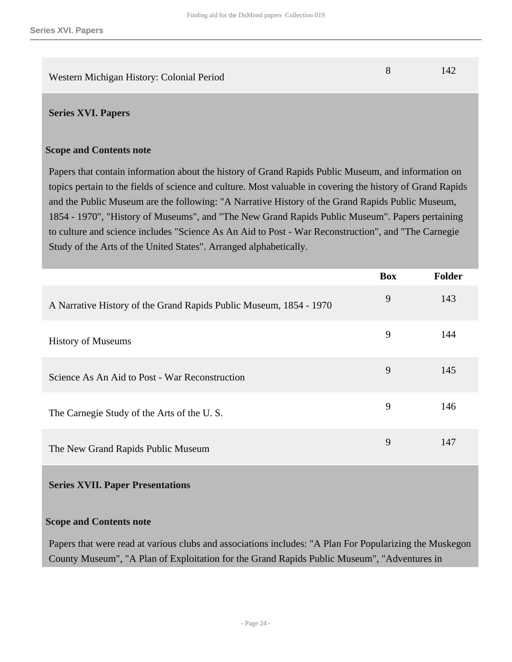<span id="page-23-0"></span>Western Michigan History: Colonial Period 8 142

### **Scope and Contents note**

Papers that contain information about the history of Grand Rapids Public Museum, and information on topics pertain to the fields of science and culture. Most valuable in covering the history of Grand Rapids and the Public Museum are the following: "A Narrative History of the Grand Rapids Public Museum, 1854 - 1970", "History of Museums", and "The New Grand Rapids Public Museum". Papers pertaining to culture and science includes "Science As An Aid to Post - War Reconstruction", and "The Carnegie Study of the Arts of the United States". Arranged alphabetically.

|                                                                    | <b>Box</b> | Folder |
|--------------------------------------------------------------------|------------|--------|
| A Narrative History of the Grand Rapids Public Museum, 1854 - 1970 | 9          | 143    |
| <b>History of Museums</b>                                          | 9          | 144    |
| Science As An Aid to Post - War Reconstruction                     | 9          | 145    |
| The Carnegie Study of the Arts of the U.S.                         | 9          | 146    |
| The New Grand Rapids Public Museum                                 | 9          | 147    |

## <span id="page-23-1"></span>**Series XVII. Paper Presentations**

## **Scope and Contents note**

Papers that were read at various clubs and associations includes: "A Plan For Popularizing the Muskegon County Museum", "A Plan of Exploitation for the Grand Rapids Public Museum", "Adventures in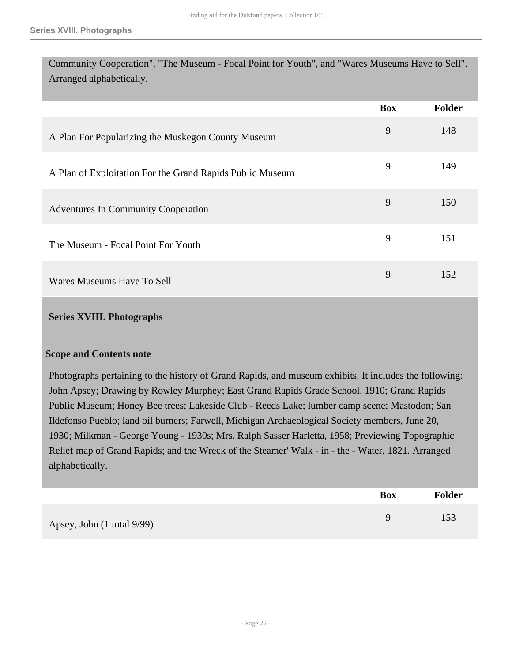Community Cooperation", "The Museum - Focal Point for Youth", and "Wares Museums Have to Sell". Arranged alphabetically.

|                                                           | <b>Box</b> | <b>Folder</b> |
|-----------------------------------------------------------|------------|---------------|
| A Plan For Popularizing the Muskegon County Museum        | 9          | 148           |
| A Plan of Exploitation For the Grand Rapids Public Museum | 9          | 149           |
| Adventures In Community Cooperation                       | 9          | 150           |
| The Museum - Focal Point For Youth                        | 9          | 151           |
| Wares Museums Have To Sell                                | 9          | 152           |

#### <span id="page-24-0"></span>**Series XVIII. Photographs**

#### **Scope and Contents note**

Photographs pertaining to the history of Grand Rapids, and museum exhibits. It includes the following: John Apsey; Drawing by Rowley Murphey; East Grand Rapids Grade School, 1910; Grand Rapids Public Museum; Honey Bee trees; Lakeside Club - Reeds Lake; lumber camp scene; Mastodon; San Ildefonso Pueblo; land oil burners; Farwell, Michigan Archaeological Society members, June 20, 1930; Milkman - George Young - 1930s; Mrs. Ralph Sasser Harletta, 1958; Previewing Topographic Relief map of Grand Rapids; and the Wreck of the Steamer' Walk - in - the - Water, 1821. Arranged alphabetically.

|                            | <b>Box</b> | <b>Folder</b> |
|----------------------------|------------|---------------|
| Apsey, John (1 total 9/99) | Q          | 153           |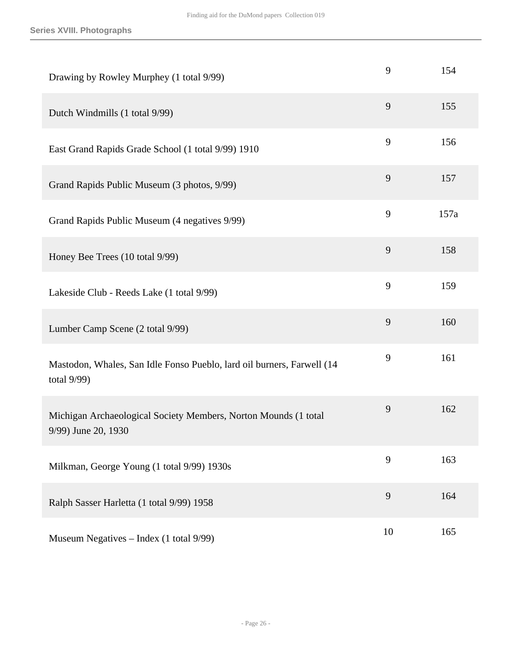| Drawing by Rowley Murphey (1 total 9/99)                                                 | 9  | 154  |
|------------------------------------------------------------------------------------------|----|------|
| Dutch Windmills (1 total 9/99)                                                           | 9  | 155  |
| East Grand Rapids Grade School (1 total 9/99) 1910                                       | 9  | 156  |
| Grand Rapids Public Museum (3 photos, 9/99)                                              | 9  | 157  |
| Grand Rapids Public Museum (4 negatives 9/99)                                            | 9  | 157a |
| Honey Bee Trees (10 total 9/99)                                                          | 9  | 158  |
| Lakeside Club - Reeds Lake (1 total 9/99)                                                | 9  | 159  |
| Lumber Camp Scene (2 total 9/99)                                                         | 9  | 160  |
| Mastodon, Whales, San Idle Fonso Pueblo, lard oil burners, Farwell (14<br>total $9/99$ ) | 9  | 161  |
| Michigan Archaeological Society Members, Norton Mounds (1 total<br>9/99) June 20, 1930   | 9  | 162  |
| Milkman, George Young (1 total 9/99) 1930s                                               | 9  | 163  |
| Ralph Sasser Harletta (1 total 9/99) 1958                                                | 9  | 164  |
| Museum Negatives - Index (1 total 9/99)                                                  | 10 | 165  |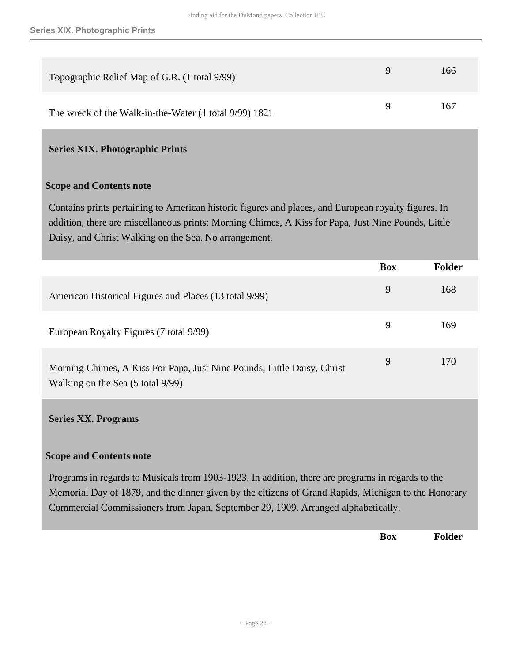| Topographic Relief Map of G.R. (1 total 9/99)          | Q. | 166 |
|--------------------------------------------------------|----|-----|
| The wreck of the Walk-in-the-Water (1 total 9/99) 1821 | Q  | 167 |

# <span id="page-26-0"></span>**Series XIX. Photographic Prints**

#### **Scope and Contents note**

Contains prints pertaining to American historic figures and places, and European royalty figures. In addition, there are miscellaneous prints: Morning Chimes, A Kiss for Papa, Just Nine Pounds, Little Daisy, and Christ Walking on the Sea. No arrangement.

|                                                                                                              | <b>Box</b> | <b>Folder</b> |
|--------------------------------------------------------------------------------------------------------------|------------|---------------|
| American Historical Figures and Places (13 total 9/99)                                                       | 9          | 168           |
| European Royalty Figures (7 total 9/99)                                                                      | 9          | 169           |
| Morning Chimes, A Kiss For Papa, Just Nine Pounds, Little Daisy, Christ<br>Walking on the Sea (5 total 9/99) | 9          | 170           |

#### <span id="page-26-1"></span>**Series XX. Programs**

## **Scope and Contents note**

Programs in regards to Musicals from 1903-1923. In addition, there are programs in regards to the Memorial Day of 1879, and the dinner given by the citizens of Grand Rapids, Michigan to the Honorary Commercial Commissioners from Japan, September 29, 1909. Arranged alphabetically.

**Box Folder**